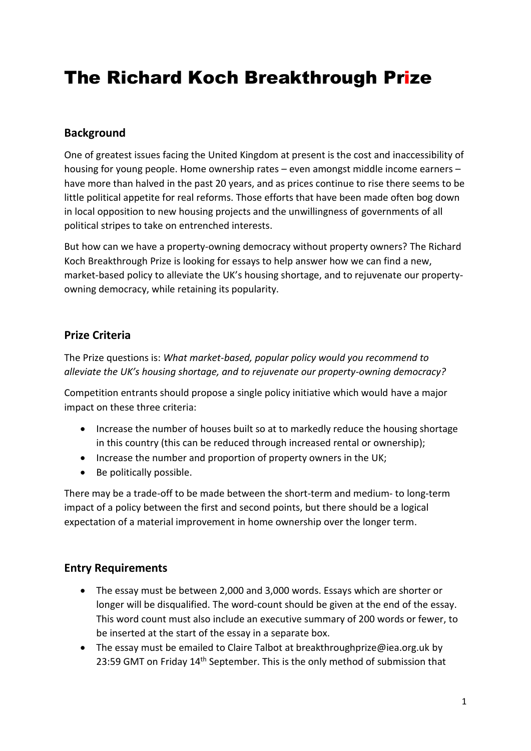# The Richard Koch Breakthrough Prize

### **Background**

One of greatest issues facing the United Kingdom at present is the cost and inaccessibility of housing for young people. Home ownership rates – even amongst middle income earners – have more than halved in the past 20 years, and as prices continue to rise there seems to be little political appetite for real reforms. Those efforts that have been made often bog down in local opposition to new housing projects and the unwillingness of governments of all political stripes to take on entrenched interests.

But how can we have a property-owning democracy without property owners? The Richard Koch Breakthrough Prize is looking for essays to help answer how we can find a new, market-based policy to alleviate the UK's housing shortage, and to rejuvenate our propertyowning democracy, while retaining its popularity.

# **Prize Criteria**

The Prize questions is: *What market-based, popular policy would you recommend to alleviate the UK's housing shortage, and to rejuvenate our property-owning democracy?*

Competition entrants should propose a single policy initiative which would have a major impact on these three criteria:

- Increase the number of houses built so at to markedly reduce the housing shortage in this country (this can be reduced through increased rental or ownership);
- Increase the number and proportion of property owners in the UK;
- Be politically possible.

There may be a trade-off to be made between the short-term and medium- to long-term impact of a policy between the first and second points, but there should be a logical expectation of a material improvement in home ownership over the longer term.

#### **Entry Requirements**

- The essay must be between 2,000 and 3,000 words. Essays which are shorter or longer will be disqualified. The word-count should be given at the end of the essay. This word count must also include an executive summary of 200 words or fewer, to be inserted at the start of the essay in a separate box.
- The essay must be emailed to Claire Talbot at breakthroughprize@iea.org.uk by 23:59 GMT on Friday 14<sup>th</sup> September. This is the only method of submission that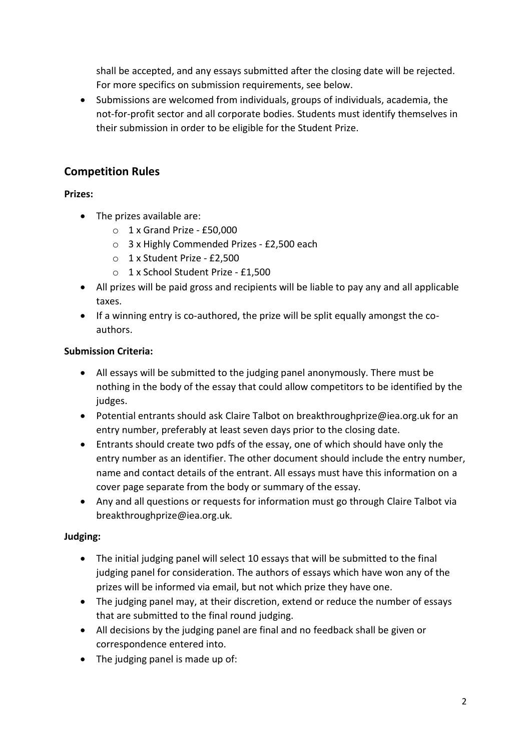shall be accepted, and any essays submitted after the closing date will be rejected. For more specifics on submission requirements, see below.

• Submissions are welcomed from individuals, groups of individuals, academia, the not-for-profit sector and all corporate bodies. Students must identify themselves in their submission in order to be eligible for the Student Prize.

# **Competition Rules**

#### **Prizes:**

- The prizes available are:
	- $\circ$  1 x Grand Prize £50,000
	- o 3 x Highly Commended Prizes £2,500 each
	- o 1 x Student Prize £2,500
	- o 1 x School Student Prize £1,500
- All prizes will be paid gross and recipients will be liable to pay any and all applicable taxes.
- If a winning entry is co-authored, the prize will be split equally amongst the coauthors.

#### **Submission Criteria:**

- All essays will be submitted to the judging panel anonymously. There must be nothing in the body of the essay that could allow competitors to be identified by the judges.
- Potential entrants should ask Claire Talbot on breakthroughprize@iea.org.uk for an entry number, preferably at least seven days prior to the closing date.
- Entrants should create two pdfs of the essay, one of which should have only the entry number as an identifier. The other document should include the entry number, name and contact details of the entrant. All essays must have this information on a cover page separate from the body or summary of the essay.
- Any and all questions or requests for information must go through Claire Talbot via breakthroughprize@iea.org.uk*.*

#### **Judging:**

- The initial judging panel will select 10 essays that will be submitted to the final judging panel for consideration. The authors of essays which have won any of the prizes will be informed via email, but not which prize they have one.
- The judging panel may, at their discretion, extend or reduce the number of essays that are submitted to the final round judging.
- All decisions by the judging panel are final and no feedback shall be given or correspondence entered into.
- The judging panel is made up of: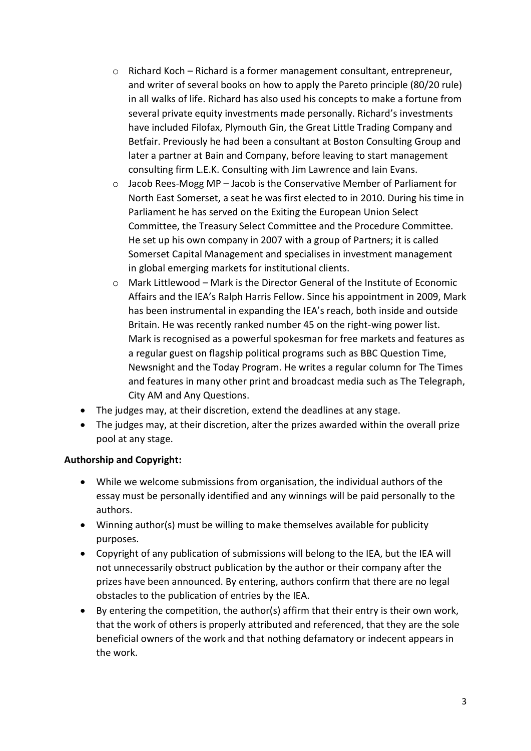- o Richard Koch Richard is a former management consultant, entrepreneur, and writer of several books on how to apply the Pareto principle (80/20 rule) in all walks of life. Richard has also used his concepts to make a fortune from several private equity investments made personally. Richard's investments have included Filofax, Plymouth Gin, the Great Little Trading Company and Betfair. Previously he had been a consultant at Boston Consulting Group and later a partner at Bain and Company, before leaving to start management consulting firm L.E.K. Consulting with Jim Lawrence and Iain Evans.
- $\circ$  Jacob Rees-Mogg MP Jacob is the Conservative Member of Parliament for North East Somerset, a seat he was first elected to in 2010. During his time in Parliament he has served on the Exiting the European Union Select Committee, the Treasury Select Committee and the Procedure Committee. He set up his own company in 2007 with a group of Partners; it is called Somerset Capital Management and specialises in investment management in global emerging markets for institutional clients.
- $\circ$  Mark Littlewood Mark is the Director General of the Institute of Economic Affairs and the IEA's Ralph Harris Fellow. Since his appointment in 2009, Mark has been instrumental in expanding the IEA's reach, both inside and outside Britain. He was recently ranked number 45 on the right-wing power list. Mark is recognised as a powerful spokesman for free markets and features as a regular guest on flagship political programs such as BBC Question Time, Newsnight and the Today Program. He writes a regular column for The Times and features in many other print and broadcast media such as The Telegraph, City AM and Any Questions.
- The judges may, at their discretion, extend the deadlines at any stage.
- The judges may, at their discretion, alter the prizes awarded within the overall prize pool at any stage.

#### **Authorship and Copyright:**

- While we welcome submissions from organisation, the individual authors of the essay must be personally identified and any winnings will be paid personally to the authors.
- Winning author(s) must be willing to make themselves available for publicity purposes.
- Copyright of any publication of submissions will belong to the IEA, but the IEA will not unnecessarily obstruct publication by the author or their company after the prizes have been announced. By entering, authors confirm that there are no legal obstacles to the publication of entries by the IEA.
- By entering the competition, the author(s) affirm that their entry is their own work, that the work of others is properly attributed and referenced, that they are the sole beneficial owners of the work and that nothing defamatory or indecent appears in the work.